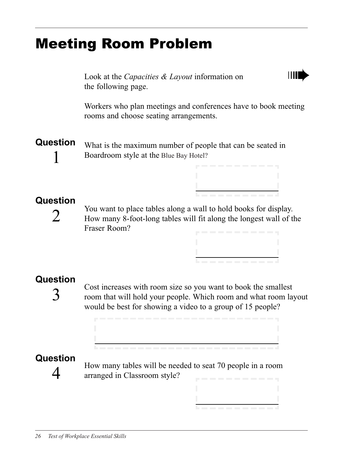# Meeting Room Problem

Look at the *Capacities & Layout* information on the following page.

Workers who plan meetings and conferences have to book meeting rooms and choose seating arrangements.

ШL

Question 1 What is the maximum number of people that can be seated in Boardroom style at the Blue Bay Hotel?

### Question

 $\sum$ 

You want to place tables along a wall to hold books for display. How many 8-foot-long tables will fit along the longest wall of the Fraser Room?

 $\mathcal{L}_{\text{max}}$  and  $\mathcal{L}_{\text{max}}$ 

## Question

3

Cost increases with room size so you want to book the smallest room that will hold your people. Which room and what room layout would be best for showing a video to a group of 15 people?

# **Question**

 $\overline{4}$ 

How many tables will be needed to seat 70 people in a room arranged in Classroom style?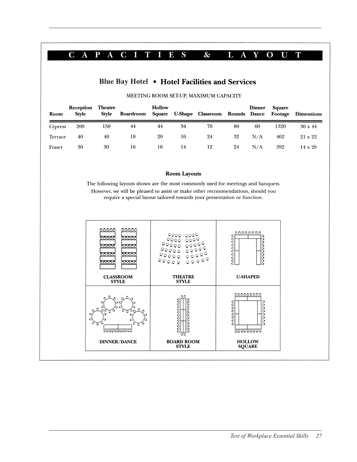#### $P A$ C I T E S  $\&$  $L \ A$ Y  $\mathbf{O}$  U  $C \ A$  $\mathbf I$ T

### Blue Bay Hotel • Hotel Facilities and Services

| Room    | Reception<br>Style | <b>Theatre</b><br>Style | Boardroom Square | <b>Hollow</b> |    | U-Shape Classroom Rounds Dance |    | <b>Dinner</b> | <b>Square</b> | <b>Footage Dimensions</b> |
|---------|--------------------|-------------------------|------------------|---------------|----|--------------------------------|----|---------------|---------------|---------------------------|
| Cypress | 200                | 150                     | 44               | 44            | 34 | 70                             | 80 | 60            | 1320          | $30 \times 44$            |
| Terrace | 40                 | 40                      | 18               | 20            | 16 | 24                             | 32 | N/A           | 462           | 21 x 22                   |
| Fraser  | 30                 | 30                      | 16               | 16            | 14 | 12                             | 24 | N/A           | 392           | $14 \times 28$            |

#### MEETING ROOM SET-UP, MAXIMUM CAPACITY

#### **Room Layouts**

The following layouts shown are the most commonly used for meetings and banquets. However, we will be pleased to assist or make other recommendations, should you require a special layout tailored towards your presentation or function.

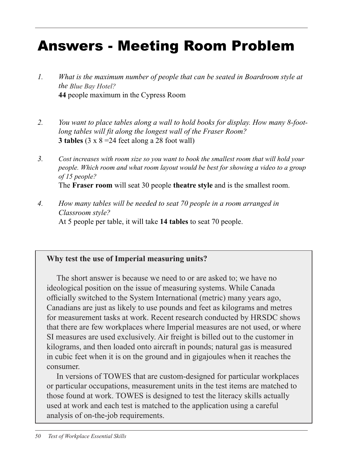# Answers - Meeting Room Problem

- 1. What is the maximum number of people that can be seated in Boardroom style at *the Blue Bay Hotel?* 44 people maximum in the Cypress Room
- 2. You want to place tables along a wall to hold books for display. How many 8-footlong tables will fit along the longest wall of the Fraser Room? **3 tables**  $(3 \times 8 = 24$  feet along a 28 foot wall)
- 3. Cost increases with room size so you want to book the smallest room that will hold your people. Which room and what room layout would be best for showing a video to a group of 15 people? The Fraser room will seat 30 people theatre style and is the smallest room.
- 4. How many tables will be needed to seat 70 people in a room arranged in Classroom style? At 5 people per table, it will take 14 tables to seat 70 people.

#### Why test the use of Imperial measuring units? **Why test the use of Imperial measuring units?**

The short answer is because we need to or are asked to; we have no The short answer is because we need to or are asked to; we have no ideological position on the issue of measuring systems. While Canada ideological position on the issue of measuring systems. While Canada officially switched to the System International (metric) many years ago, Canadians are just as likely to use pounds and feet as kilograms and metres for measurement tasks at work. Recent research conducted by HRSDC shows that there are few workplaces where Imperial measures are not used, or not that there are few workplaces where Imperial measures are not used, or where SI measures are used exclusively. Air freight is billed out to the customer in kilograms, and then loaded onto aircraft in pounds; natural gas is measured in cubic feet when it is on the ground and in gigajoules when it reaches the  $\sum_{i=1}^{n}$  versions of  $\sum_{i=1}^{n}$  designed for  $\sum_{i=1}^{n}$  designed for  $\sum_{i=1}^{n}$  designed for particular  $\sum_{i=1}^{n}$  designed for  $\sum_{i=1}^{n}$  designed for  $\sum_{i=1}^{n}$  designed for  $\sum_{i=1}^{n}$  designed for  $\sum$ consumer.

In versions of TOWES that are custom-designed for particular workplaces m versions or TOWES inat are easion-designed tor particular work. or particular occupations, measurement units in the test items are matched to those found at work. TOWES is designed to test the literacy skills actually used at work and each test is matched to the application using a careful analysis of on-the-job requirements.